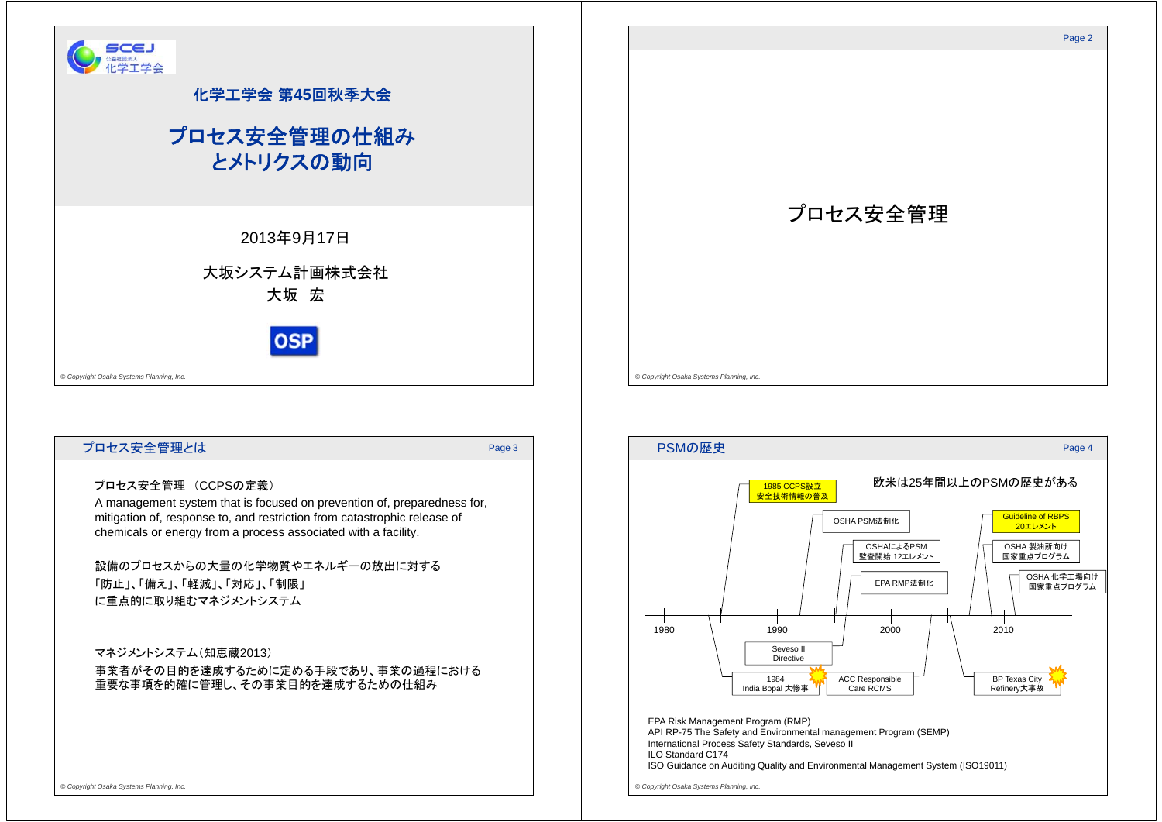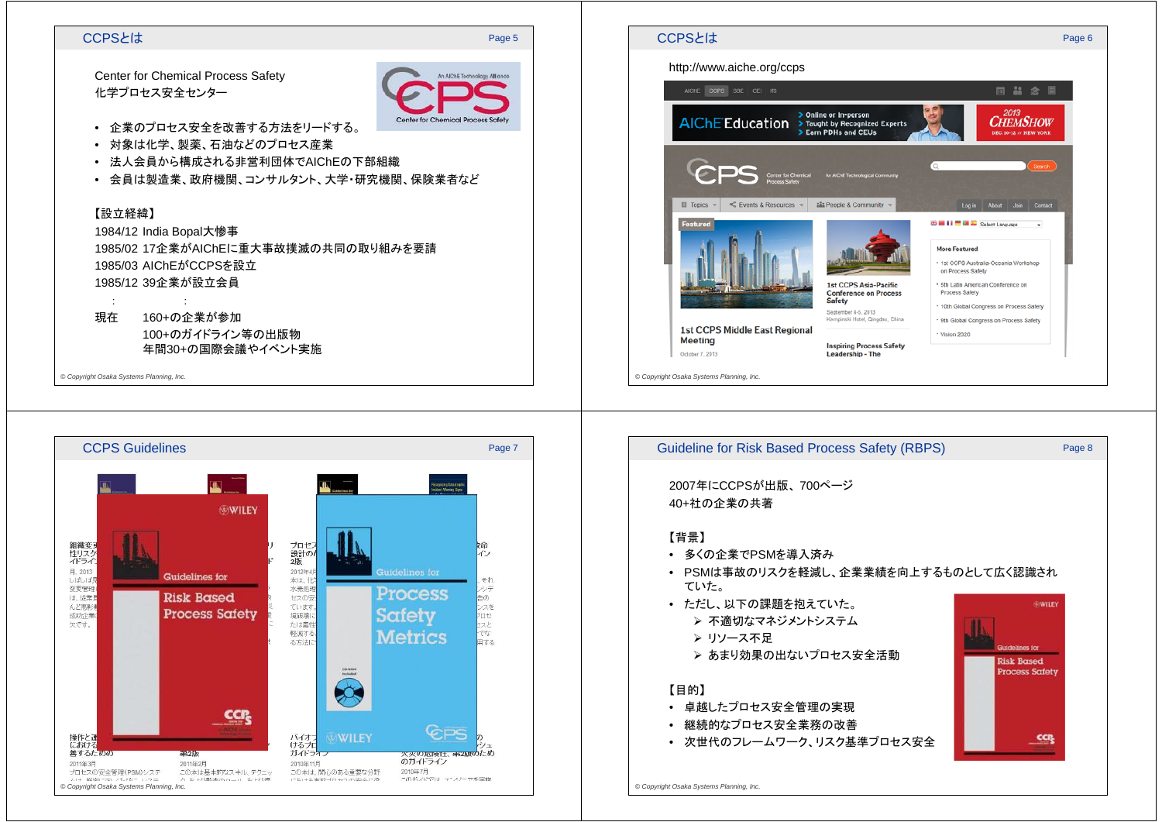# CCPSとは

### Page 5

Center for Chemical Process Safety 化学プロセス安全センター



- 企業のプロセス安全を改善する方法をリードする。
- 対象は化学、製薬、石油などのプロセス産業
- 法人会員から構成される非営利団体でAIChEの下部組織
- 会員は製造業、政府機関、コンサルタント、大学・研究機関、保険業者など

# 【設立経緯】

:

1984/12 India Bopal大惨事 1985/02 17企業がAIChEに重大事故撲滅の共同の取り組みを要請1985/03 AIChEがCCPSを設立1985/12 39企業が設立会員

#### 現在160+の企業が参加

:

100+のガイドライン等の出版物年間30+の国際会議やイベント実施

*© Copyright Osaka Systems Planning, Inc.*





- 多くの企業でPSMを導入済み
- PSMは事故のリスクを軽減し、企業業績を向上するものとして広く認識されていた。
- ただし、以下の課題を抱えていた。
	- ▶ 不適切なマネジメントシステム
	- リソース不足
	- ▶ あまり効果の出ないプロセス安全活動

## 【目的】

- 卓越したプロセス安全管理の実現
- 継続的なプロセス安全業務の改善
- 次世代のフレームワーク、リスク基準プロセス安全



*© Copyright Osaka Systems Planning, Inc.*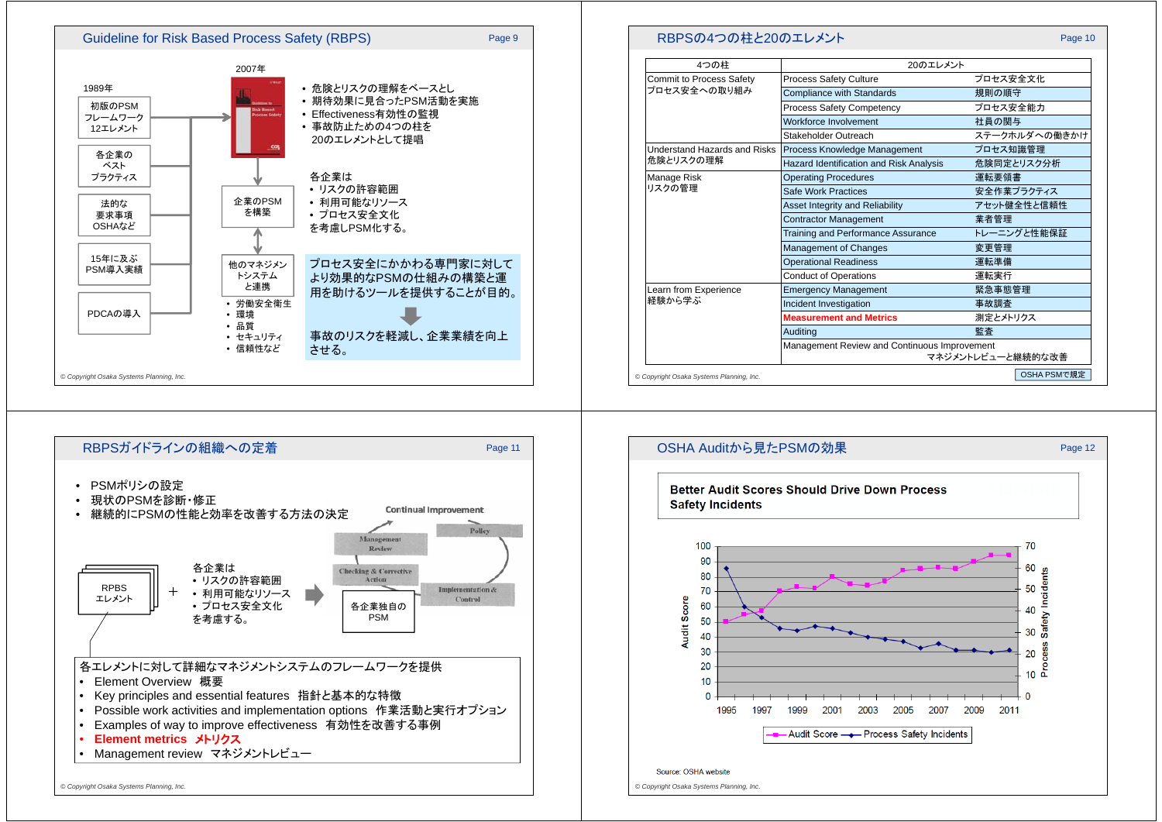

![](_page_2_Figure_1.jpeg)

| 4つの柱                                             | 20のエレメント                                                          |               |
|--------------------------------------------------|-------------------------------------------------------------------|---------------|
| <b>Commit to Process Safety</b><br>プロセス安全への取り組み  | <b>Process Safety Culture</b>                                     | プロセス安全文化      |
|                                                  | <b>Compliance with Standards</b>                                  | 規則の順守         |
|                                                  | <b>Process Safety Competency</b>                                  | プロセス安全能力      |
|                                                  | Workforce Involvement                                             | 社員の関与         |
|                                                  | Stakeholder Outreach                                              | ステークホルダへの働きかけ |
| <b>Understand Hazards and Risks</b><br>危険とリスクの理解 | Process Knowledge Management                                      | プロセス知識管理      |
|                                                  | <b>Hazard Identification and Risk Analysis</b>                    | 危険同定とリスク分析    |
| Manage Risk<br>リスクの管理                            | <b>Operating Procedures</b>                                       | 運転要領書         |
|                                                  | Safe Work Practices                                               | 安全作業プラクティス    |
|                                                  | <b>Asset Integrity and Reliability</b>                            | アセット健全性と信頼性   |
|                                                  | <b>Contractor Management</b>                                      | 業者管理          |
|                                                  | <b>Training and Performance Assurance</b>                         | トレーニングと性能保証   |
|                                                  | Management of Changes                                             | 変更管理          |
|                                                  | <b>Operational Readiness</b>                                      | 運転準備          |
|                                                  | <b>Conduct of Operations</b>                                      | 運転実行          |
| Learn from Experience<br>経験から学ぶ                  | <b>Emergency Management</b>                                       | 緊急事態管理        |
|                                                  | Incident Investigation                                            | 事故調査          |
|                                                  | <b>Measurement and Metrics</b>                                    | 測定とメトリクス      |
|                                                  | Auditina                                                          | 監査            |
|                                                  | Management Review and Continuous Improvement<br>マネジメントレビューと継続的な改善 |               |

![](_page_2_Figure_3.jpeg)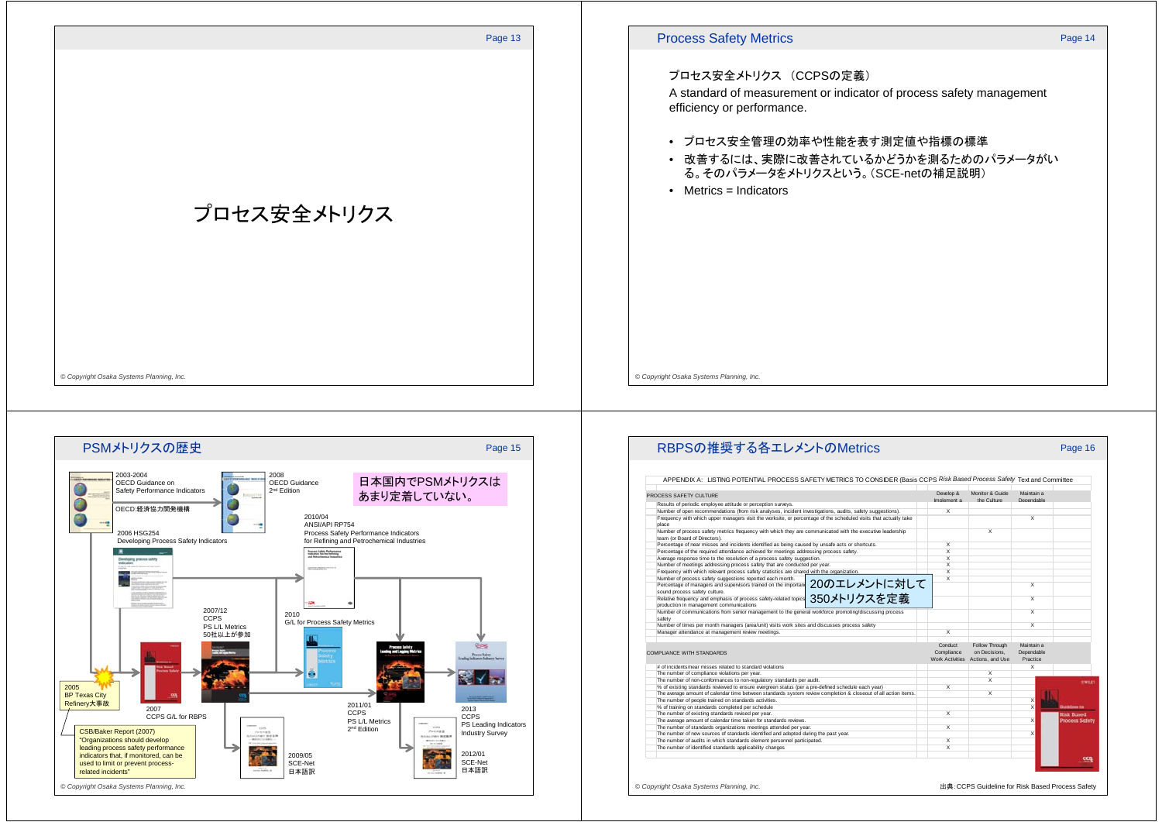![](_page_3_Figure_0.jpeg)

*© Copyright Osaka Systems Planning, Inc.*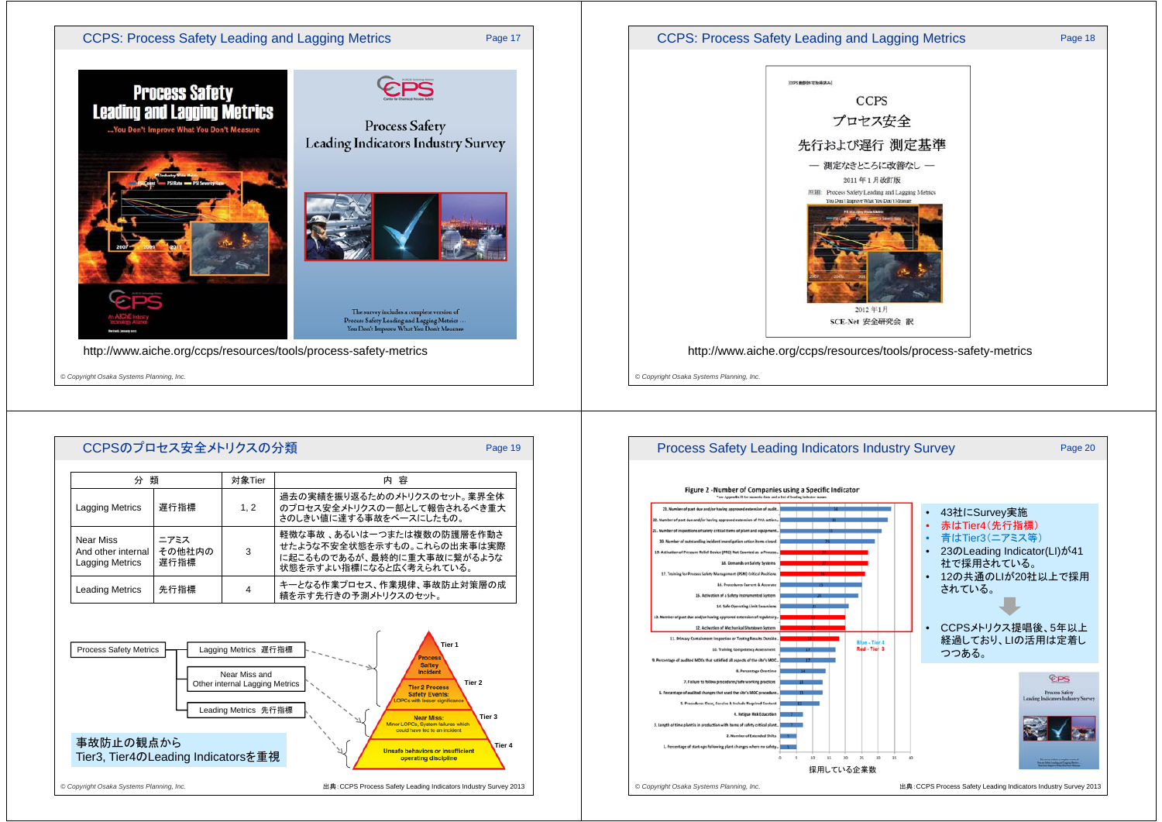![](_page_4_Picture_0.jpeg)

![](_page_4_Figure_1.jpeg)

![](_page_4_Picture_2.jpeg)

![](_page_4_Figure_3.jpeg)